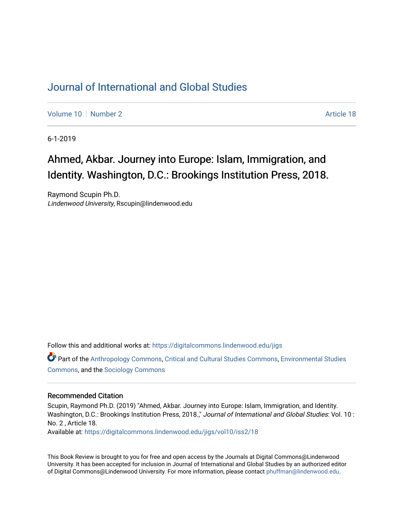## [Journal of International and Global Studies](https://digitalcommons.lindenwood.edu/jigs)

[Volume 10](https://digitalcommons.lindenwood.edu/jigs/vol10) [Number 2](https://digitalcommons.lindenwood.edu/jigs/vol10/iss2) Article 18

6-1-2019

# Ahmed, Akbar. Journey into Europe: Islam, Immigration, and Identity. Washington, D.C.: Brookings Institution Press, 2018.

Raymond Scupin Ph.D. Lindenwood University, Rscupin@lindenwood.edu

Follow this and additional works at: [https://digitalcommons.lindenwood.edu/jigs](https://digitalcommons.lindenwood.edu/jigs?utm_source=digitalcommons.lindenwood.edu%2Fjigs%2Fvol10%2Fiss2%2F18&utm_medium=PDF&utm_campaign=PDFCoverPages) 

Part of the [Anthropology Commons](http://network.bepress.com/hgg/discipline/318?utm_source=digitalcommons.lindenwood.edu%2Fjigs%2Fvol10%2Fiss2%2F18&utm_medium=PDF&utm_campaign=PDFCoverPages), [Critical and Cultural Studies Commons](http://network.bepress.com/hgg/discipline/328?utm_source=digitalcommons.lindenwood.edu%2Fjigs%2Fvol10%2Fiss2%2F18&utm_medium=PDF&utm_campaign=PDFCoverPages), [Environmental Studies](http://network.bepress.com/hgg/discipline/1333?utm_source=digitalcommons.lindenwood.edu%2Fjigs%2Fvol10%2Fiss2%2F18&utm_medium=PDF&utm_campaign=PDFCoverPages)  [Commons](http://network.bepress.com/hgg/discipline/1333?utm_source=digitalcommons.lindenwood.edu%2Fjigs%2Fvol10%2Fiss2%2F18&utm_medium=PDF&utm_campaign=PDFCoverPages), and the [Sociology Commons](http://network.bepress.com/hgg/discipline/416?utm_source=digitalcommons.lindenwood.edu%2Fjigs%2Fvol10%2Fiss2%2F18&utm_medium=PDF&utm_campaign=PDFCoverPages)

#### Recommended Citation

Scupin, Raymond Ph.D. (2019) "Ahmed, Akbar. Journey into Europe: Islam, Immigration, and Identity. Washington, D.C.: Brookings Institution Press, 2018.," Journal of International and Global Studies: Vol. 10 : No. 2 , Article 18.

Available at: [https://digitalcommons.lindenwood.edu/jigs/vol10/iss2/18](https://digitalcommons.lindenwood.edu/jigs/vol10/iss2/18?utm_source=digitalcommons.lindenwood.edu%2Fjigs%2Fvol10%2Fiss2%2F18&utm_medium=PDF&utm_campaign=PDFCoverPages) 

This Book Review is brought to you for free and open access by the Journals at Digital Commons@Lindenwood University. It has been accepted for inclusion in Journal of International and Global Studies by an authorized editor of Digital Commons@Lindenwood University. For more information, please contact [phuffman@lindenwood.edu](mailto:phuffman@lindenwood.edu).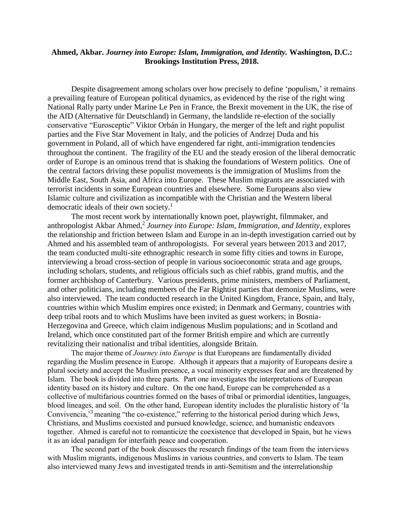### **Ahmed, Akbar.** *Journey into Europe: Islam, Immigration, and Identity.* **Washington, D.C.: Brookings Institution Press, 2018.**

Despite disagreement among scholars over how precisely to define 'populism,' it remains a prevailing feature of European political dynamics, as evidenced by the rise of the right wing National Rally party under Marine Le Pen in France, the Brexit movement in the UK, the rise of the AfD (Alternative für Deutschland) in Germany, the landslide re-election of the socially conservative "Eurosceptic" Viktor Orbán in Hungary, the merger of the left and right populist parties and the Five Star Movement in Italy, and the policies of Andrzej Duda and his government in Poland, all of which have engendered far right, anti-immigration tendencies throughout the continent. The fragility of the EU and the steady erosion of the liberal democratic order of Europe is an ominous trend that is shaking the foundations of Western politics. One of the central factors driving these populist movements is the immigration of Muslims from the Middle East, South Asia, and Africa into Europe. These Muslim migrants are associated with terrorist incidents in some European countries and elsewhere. Some Europeans also view Islamic culture and civilization as incompatible with the Christian and the Western liberal democratic ideals of their own society.<sup>1</sup>

The most recent work by internationally known poet, playwright, filmmaker, and anthropologist Akbar Ahmed, 2 *Journey into Europe: Islam, Immigration, and Identity*, explores the relationship and friction between Islam and Europe in an in-depth investigation carried out by Ahmed and his assembled team of anthropologists. For several years between 2013 and 2017, the team conducted multi-site ethnographic research in some fifty cities and towns in Europe, interviewing a broad cross-section of people in various socioeconomic strata and age groups, including scholars, students, and religious officials such as chief rabbis, grand muftis, and the former archbishop of Canterbury. Various presidents, prime ministers, members of Parliament, and other politicians, including members of the Far Rightist parties that demonize Muslims, were also interviewed. The team conducted research in the United Kingdom, France, Spain, and Italy, countries within which Muslim empires once existed; in Denmark and Germany, countries with deep tribal roots and to which Muslims have been invited as guest workers; in Bosnia-Herzegovina and Greece, which claim indigenous Muslim populations; and in Scotland and Ireland, which once constituted part of the former British empire and which are currently revitalizing their nationalist and tribal identities, alongside Britain.

The major theme of *Journey into Europe* is that Europeans are fundamentally divided regarding the Muslim presence in Europe. Although it appears that a majority of Europeans desire a plural society and accept the Muslim presence, a vocal minority expresses fear and are threatened by Islam. The book is divided into three parts. Part one investigates the interpretations of European identity based on its history and culture. On the one hand, Europe can be comprehended as a collective of multifarious countries formed on the bases of tribal or primordial identities, languages, blood lineages, and soil. On the other hand, European identity includes the pluralistic history of 'la Convivencia,<sup>3</sup> meaning "the co-existence," referring to the historical period during which Jews, Christians, and Muslims coexisted and pursued knowledge, science, and humanistic endeavors together. Ahmed is careful not to romanticize the coexistence that developed in Spain, but he views it as an ideal paradigm for interfaith peace and cooperation.

The second part of the book discusses the research findings of the team from the interviews with Muslim migrants, indigenous Muslims in various countries, and converts to Islam. The team also interviewed many Jews and investigated trends in anti-Semitism and the interrelationship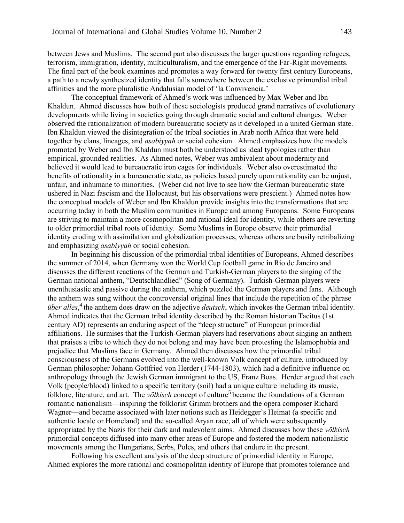between Jews and Muslims. The second part also discusses the larger questions regarding refugees, terrorism, immigration, identity, multiculturalism, and the emergence of the Far-Right movements. The final part of the book examines and promotes a way forward for twenty first century Europeans, a path to a newly synthesized identity that falls somewhere between the exclusive primordial tribal affinities and the more pluralistic Andalusian model of 'la Convivencia.'

The conceptual framework of Ahmed's work was influenced by Max Weber and Ibn Khaldun. Ahmed discusses how both of these sociologists produced grand narratives of evolutionary developments while living in societies going through dramatic social and cultural changes. Weber observed the rationalization of modern bureaucratic society as it developed in a united German state. Ibn Khaldun viewed the disintegration of the tribal societies in Arab north Africa that were held together by clans, lineages, and *asabiyyah* or social cohesion. Ahmed emphasizes how the models promoted by Weber and Ibn Khaldun must both be understood as ideal typologies rather than empirical, grounded realities. As Ahmed notes, Weber was ambivalent about modernity and believed it would lead to bureaucratic iron cages for individuals. Weber also overestimated the benefits of rationality in a bureaucratic state, as policies based purely upon rationality can be unjust, unfair, and inhumane to minorities. (Weber did not live to see how the German bureaucratic state ushered in Nazi fascism and the Holocaust, but his observations were prescient.) Ahmed notes how the conceptual models of Weber and Ibn Khaldun provide insights into the transformations that are occurring today in both the Muslim communities in Europe and among Europeans. Some Europeans are striving to maintain a more cosmopolitan and rational ideal for identity, while others are reverting to older primordial tribal roots of identity. Some Muslims in Europe observe their primordial identity eroding with assimilation and globalization processes, whereas others are busily retribalizing and emphasizing *asabiyyah* or social cohesion.

In beginning his discussion of the primordial tribal identities of Europeans, Ahmed describes the summer of 2014, when Germany won the World Cup football game in Rio de Janeiro and discusses the different reactions of the German and Turkish-German players to the singing of the German national anthem, "Deutschlandlied" (Song of Germany). Turkish-German players were unenthusiastic and passive during the anthem, which puzzled the German players and fans. Although the anthem was sung without the controversial original lines that include the repetition of the phrase *über alles*, 4 the anthem does draw on the adjective *deutsch*, which invokes the German tribal identity. Ahmed indicates that the German tribal identity described by the Roman historian Tacitus (1st century AD) represents an enduring aspect of the "deep structure" of European primordial affiliations. He surmises that the Turkish-German players had reservations about singing an anthem that praises a tribe to which they do not belong and may have been protesting the Islamophobia and prejudice that Muslims face in Germany. Ahmed then discusses how the primordial tribal consciousness of the Germans evolved into the well-known Volk concept of culture, introduced by German philosopher Johann Gottfried von Herder (1744-1803), which had a definitive influence on anthropology through the Jewish German immigrant to the US, Franz Boas. Herder argued that each Volk (people/blood) linked to a specific territory (soil) had a unique culture including its music, folklore, literature, and art. The *völkisch* concept of culture<sup>5</sup> became the foundations of a German romantic nationalism—inspiring the folklorist Grimm brothers and the opera composer Richard Wagner—and became associated with later notions such as Heidegger's Heimat (a specific and authentic locale or Homeland) and the so-called Aryan race, all of which were subsequently appropriated by the Nazis for their dark and malevolent aims. Ahmed discusses how these *völkisch*  primordial concepts diffused into many other areas of Europe and fostered the modern nationalistic movements among the Hungarians, Serbs, Poles, and others that endure in the present.

Following his excellent analysis of the deep structure of primordial identity in Europe, Ahmed explores the more rational and cosmopolitan identity of Europe that promotes tolerance and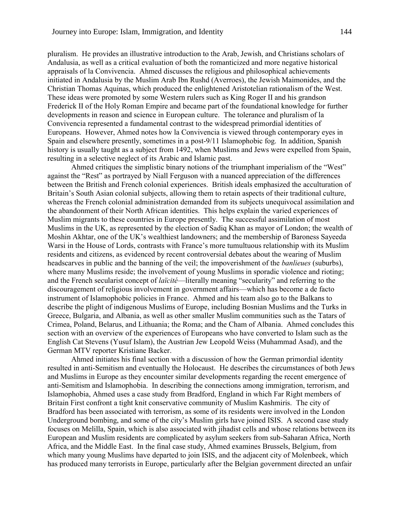pluralism. He provides an illustrative introduction to the Arab, Jewish, and Christians scholars of Andalusia, as well as a critical evaluation of both the romanticized and more negative historical appraisals of la Convivencia. Ahmed discusses the religious and philosophical achievements initiated in Andalusia by the Muslim Arab Ibn Rushd (Averroes), the Jewish Maimonides, and the Christian Thomas Aquinas, which produced the enlightened Aristotelian rationalism of the West. These ideas were promoted by some Western rulers such as King Roger II and his grandson Frederick II of the Holy Roman Empire and became part of the foundational knowledge for further developments in reason and science in European culture. The tolerance and pluralism of la Convivencia represented a fundamental contrast to the widespread primordial identities of Europeans. However, Ahmed notes how la Convivencia is viewed through contemporary eyes in Spain and elsewhere presently, sometimes in a post-9/11 Islamophobic fog. In addition, Spanish history is usually taught as a subject from 1492, when Muslims and Jews were expelled from Spain, resulting in a selective neglect of its Arabic and Islamic past.

Ahmed critiques the simplistic binary notions of the triumphant imperialism of the "West" against the "Rest" as portrayed by Niall Ferguson with a nuanced appreciation of the differences between the British and French colonial experiences. British ideals emphasized the acculturation of Britain's South Asian colonial subjects, allowing them to retain aspects of their traditional culture, whereas the French colonial administration demanded from its subjects unequivocal assimilation and the abandonment of their North African identities. This helps explain the varied experiences of Muslim migrants to these countries in Europe presently. The successful assimilation of most Muslims in the UK, as represented by the election of Sadiq Khan as mayor of London; the wealth of Moshin Akhtar, one of the UK's wealthiest landowners; and the membership of Baroness Sayeeda Warsi in the House of Lords, contrasts with France's more tumultuous relationship with its Muslim residents and citizens, as evidenced by recent controversial debates about the wearing of Muslim headscarves in public and the banning of the veil; the impoverishment of the *banlieues* (suburbs), where many Muslims reside; the involvement of young Muslims in sporadic violence and rioting; and the French secularist concept of *laïcité*—literally meaning "secularity" and referring to the discouragement of religious involvement in government affairs—which has become a de facto instrument of Islamophobic policies in France. Ahmed and his team also go to the Balkans to describe the plight of indigenous Muslims of Europe, including Bosnian Muslims and the Turks in Greece, Bulgaria, and Albania, as well as other smaller Muslim communities such as the Tatars of Crimea, Poland, Belarus, and Lithuania; the Roma; and the Cham of Albania. Ahmed concludes this section with an overview of the experiences of Europeans who have converted to Islam such as the English Cat Stevens (Yusuf Islam), the Austrian Jew Leopold Weiss (Muhammad Asad), and the German MTV reporter Kristiane Backer.

Ahmed initiates his final section with a discussion of how the German primordial identity resulted in anti-Semitism and eventually the Holocaust. He describes the circumstances of both Jews and Muslims in Europe as they encounter similar developments regarding the recent emergence of anti-Semitism and Islamophobia. In describing the connections among immigration, terrorism, and Islamophobia, Ahmed uses a case study from Bradford, England in which Far Right members of Britain First confront a tight knit conservative community of Muslim Kashmiris. The city of Bradford has been associated with terrorism, as some of its residents were involved in the London Underground bombing, and some of the city's Muslim girls have joined ISIS. A second case study focuses on Melilla, Spain, which is also associated with jihadist cells and whose relations between its European and Muslim residents are complicated by asylum seekers from sub-Saharan Africa, North Africa, and the Middle East. In the final case study, Ahmed examines Brussels, Belgium, from which many young Muslims have departed to join ISIS, and the adjacent city of Molenbeek, which has produced many terrorists in Europe, particularly after the Belgian government directed an unfair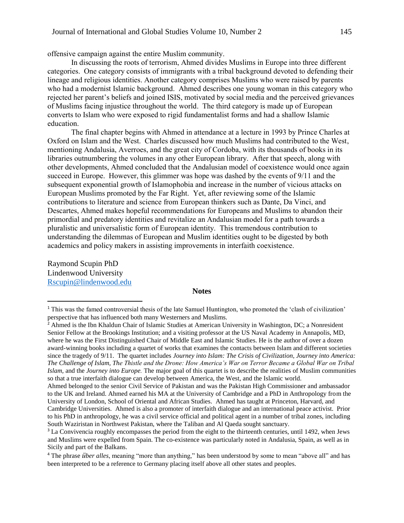offensive campaign against the entire Muslim community.

In discussing the roots of terrorism, Ahmed divides Muslims in Europe into three different categories. One category consists of immigrants with a tribal background devoted to defending their lineage and religious identities. Another category comprises Muslims who were raised by parents who had a modernist Islamic background. Ahmed describes one young woman in this category who rejected her parent's beliefs and joined ISIS, motivated by social media and the perceived grievances of Muslims facing injustice throughout the world. The third category is made up of European converts to Islam who were exposed to rigid fundamentalist forms and had a shallow Islamic education.

The final chapter begins with Ahmed in attendance at a lecture in 1993 by Prince Charles at Oxford on Islam and the West. Charles discussed how much Muslims had contributed to the West, mentioning Andalusia, Averroes, and the great city of Cordoba, with its thousands of books in its libraries outnumbering the volumes in any other European library. After that speech, along with other developments, Ahmed concluded that the Andalusian model of coexistence would once again succeed in Europe. However, this glimmer was hope was dashed by the events of 9/11 and the subsequent exponential growth of Islamophobia and increase in the number of vicious attacks on European Muslims promoted by the Far Right. Yet, after reviewing some of the Islamic contributions to literature and science from European thinkers such as Dante, Da Vinci, and Descartes, Ahmed makes hopeful recommendations for Europeans and Muslims to abandon their primordial and predatory identities and revitalize an Andalusian model for a path towards a pluralistic and universalistic form of European identity. This tremendous contribution to understanding the dilemmas of European and Muslim identities ought to be digested by both academics and policy makers in assisting improvements in interfaith coexistence.

Raymond Scupin PhD Lindenwood University [Rscupin@lindenwood.edu](mailto:Rscupin@lindenwood.edu)

 $\overline{a}$ 

#### **Notes**

<sup>&</sup>lt;sup>1</sup> This was the famed controversial thesis of the late Samuel Huntington, who promoted the 'clash of civilization' perspective that has influenced both many Westerners and Muslims.

<sup>&</sup>lt;sup>2</sup> Ahmed is the Ibn Khaldun Chair of Islamic Studies at American University in Washington, DC; a Nonresident Senior Fellow at the Brookings Institution; and a visiting professor at the US Naval Academy in Annapolis, MD, where he was the First Distinguished Chair of Middle East and Islamic Studies. He is the author of over a dozen award-winning books including a quartet of works that examines the contacts between Islam and different societies since the tragedy of 9/11. The quartet includes *Journey into Islam: The Crisis of Civilization, Journey into America: The Challenge of Islam, The Thistle and the Drone: How America's War on Terror Became a Global War on Tribal Islam,* and the *Journey into Europe.* The major goal of this quartet is to describe the realities of Muslim communities so that a true interfaith dialogue can develop between America, the West, and the Islamic world.

Ahmed belonged to the senior Civil Service of Pakistan and was the Pakistan High Commissioner and ambassador to the UK and Ireland. Ahmed earned his MA at the University of Cambridge and a PhD in Anthropology from the University of London, School of Oriental and African Studies. Ahmed has taught at Princeton, Harvard, and Cambridge Universities. Ahmed is also a promoter of interfaith dialogue and an international peace activist. Prior to his PhD in anthropology, he was a civil service official and political agent in a number of tribal zones, including South Waziristan in Northwest Pakistan, where the Taliban and Al Qaeda sought sanctuary.

<sup>&</sup>lt;sup>3</sup> La Convivencia roughly encompasses the period from the eight to the thirteenth centuries, until 1492, when Jews and Muslims were expelled from Spain. The co-existence was particularly noted in Andalusia, Spain, as well as in Sicily and part of the Balkans.

<sup>4</sup> The phrase *über alles*, meaning "more than anything," has been understood by some to mean "above all" and has been interpreted to be a reference to Germany placing itself above all other states and peoples.